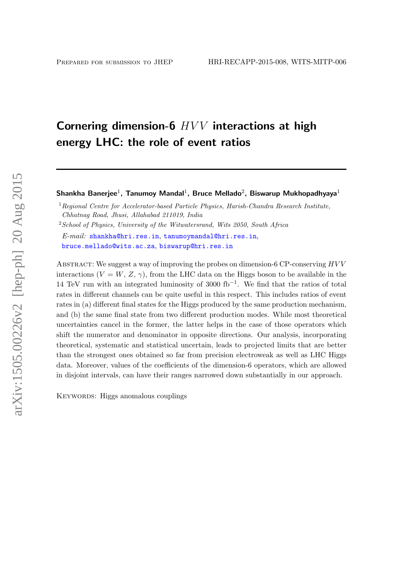# Cornering dimension-6  $HVV$  interactions at high energy LHC: the role of event ratios

Shankha Banerjee $^1$ , Tanumoy Mandal<sup>1</sup>, Bruce Mellado<sup>2</sup>, Biswarup Mukhopadhyaya<sup>1</sup>

<sup>1</sup> Regional Centre for Accelerator-based Particle Physics, Harish-Chandra Research Institute, Chhatnag Road, Jhusi, Allahabad 211019, India

 $2$ School of Physics, University of the Witwatersrand, Wits 2050, South Africa  $E-mail: shankha@hri.res.in. tanumovmandal@hri.res.in.$  $E-mail: shankha@hri.res.in. tanumovmandal@hri.res.in.$  $E-mail: shankha@hri.res.in. tanumovmandal@hri.res.in.$ 

[bruce.mellado@wits.ac.za](mailto:bruce.mellado@wits.ac.za), [biswarup@hri.res.in](mailto:biswarup@hri.res.in)

ABSTRACT: We suggest a way of improving the probes on dimension-6 CP-conserving  $HVV$ interactions  $(V = W, Z, \gamma)$ , from the LHC data on the Higgs boson to be available in the 14 TeV run with an integrated luminosity of 3000 fb−<sup>1</sup> . We find that the ratios of total rates in different channels can be quite useful in this respect. This includes ratios of event rates in (a) different final states for the Higgs produced by the same production mechanism, and (b) the same final state from two different production modes. While most theoretical uncertainties cancel in the former, the latter helps in the case of those operators which shift the numerator and denominator in opposite directions. Our analysis, incorporating theoretical, systematic and statistical uncertain, leads to projected limits that are better than the strongest ones obtained so far from precision electroweak as well as LHC Higgs data. Moreover, values of the coefficients of the dimension-6 operators, which are allowed in disjoint intervals, can have their ranges narrowed down substantially in our approach.

KEYWORDS: Higgs anomalous couplings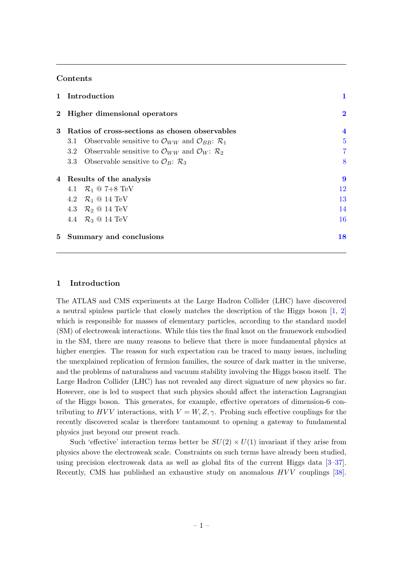# Contents

|                | 1 Introduction                                                                                    | 1                       |
|----------------|---------------------------------------------------------------------------------------------------|-------------------------|
|                | 2 Higher dimensional operators                                                                    | $\overline{\mathbf{2}}$ |
| 3              | Ratios of cross-sections as chosen observables                                                    | $\overline{\mathbf{4}}$ |
|                | Observable sensitive to $\mathcal{O}_{WW}$ and $\mathcal{O}_{BB}$ : $\mathcal{R}_1$<br>3.1        | $\overline{5}$          |
|                | Observable sensitive to $\mathcal{O}_{WW}$ and $\mathcal{O}_W$ : $\mathcal{R}_2$<br>$3.2^{\circ}$ | $\overline{7}$          |
|                | Observable sensitive to $\mathcal{O}_B$ : $\mathcal{R}_3$<br>3.3                                  | 8                       |
|                | 4 Results of the analysis                                                                         | 9                       |
|                | 4.1 $R_1 \otimes 7 + 8 \text{ TeV}$                                                               | 12                      |
|                | 4.2 $\mathcal{R}_1$ @ 14 TeV                                                                      | 13                      |
|                | 4.3 $\mathcal{R}_2$ @ 14 TeV                                                                      | 14                      |
|                | 4.4 $\mathcal{R}_3$ @ 14 TeV                                                                      | 16                      |
| 5 <sup>5</sup> | Summary and conclusions                                                                           | 18                      |

## <span id="page-1-0"></span>1 Introduction

The ATLAS and CMS experiments at the Large Hadron Collider (LHC) have discovered a neutral spinless particle that closely matches the description of the Higgs boson  $[1, 2]$  $[1, 2]$ which is responsible for masses of elementary particles, according to the standard model (SM) of electroweak interactions. While this ties the final knot on the framework embodied in the SM, there are many reasons to believe that there is more fundamental physics at higher energies. The reason for such expectation can be traced to many issues, including the unexplained replication of fermion families, the source of dark matter in the universe, and the problems of naturalness and vacuum stability involving the Higgs boson itself. The Large Hadron Collider (LHC) has not revealed any direct signature of new physics so far. However, one is led to suspect that such physics should affect the interaction Lagrangian of the Higgs boson. This generates, for example, effective operators of dimension-6 contributing to HVV interactions, with  $V = W, Z, \gamma$ . Probing such effective couplings for the recently discovered scalar is therefore tantamount to opening a gateway to fundamental physics just beyond our present reach.

Such 'effective' interaction terms better be  $SU(2) \times U(1)$  invariant if they arise from physics above the electroweak scale. Constraints on such terms have already been studied, using precision electroweak data as well as global fits of the current Higgs data [\[3–](#page-19-2)[37\]](#page-20-0). Recently, CMS has published an exhaustive study on anomalous  $HVV$  couplings [\[38\]](#page-21-0).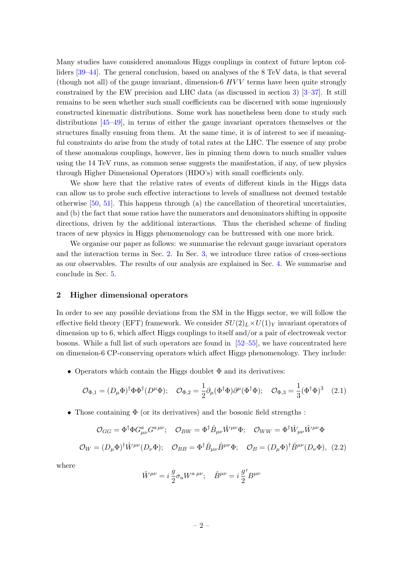Many studies have considered anomalous Higgs couplings in context of future lepton colliders [\[39–](#page-21-1)[44\]](#page-21-2). The general conclusion, based on analyses of the 8 TeV data, is that several (though not all) of the gauge invariant, dimension-6  $HVV$  terms have been quite strongly constrained by the EW precision and LHC data (as discussed in section [3\)](#page-4-0) [\[3–](#page-19-2)[37\]](#page-20-0). It still remains to be seen whether such small coefficients can be discerned with some ingeniously constructed kinematic distributions. Some work has nonetheless been done to study such distributions [\[45](#page-21-3)[–49\]](#page-21-4), in terms of either the gauge invariant operators themselves or the structures finally ensuing from them. At the same time, it is of interest to see if meaningful constraints do arise from the study of total rates at the LHC. The essence of any probe of these anomalous couplings, however, lies in pinning them down to much smaller values using the 14 TeV runs, as common sense suggests the manifestation, if any, of new physics through Higher Dimensional Operators (HDO's) with small coefficients only.

We show here that the relative rates of events of different kinds in the Higgs data can allow us to probe such effective interactions to levels of smallness not deemed testable otherwise [\[50,](#page-21-5) [51\]](#page-21-6). This happens through (a) the cancellation of theoretical uncertainties, and (b) the fact that some ratios have the numerators and denominators shifting in opposite directions, driven by the additional interactions. Thus the cherished scheme of finding traces of new physics in Higgs phenomenology can be buttressed with one more brick.

We organise our paper as follows: we summarise the relevant gauge invariant operators and the interaction terms in Sec. [2.](#page-2-0) In Sec. [3,](#page-4-0) we introduce three ratios of cross-sections as our observables. The results of our analysis are explained in Sec. [4.](#page-9-0) We summarise and conclude in Sec. [5.](#page-18-0)

#### <span id="page-2-0"></span>2 Higher dimensional operators

In order to see any possible deviations from the SM in the Higgs sector, we will follow the effective field theory (EFT) framework. We consider  $SU(2)_L \times U(1)_Y$  invariant operators of dimension up to 6, which affect Higgs couplings to itself and/or a pair of electroweak vector bosons. While a full list of such operators are found in  $[52–55]$  $[52–55]$ , we have concentrated here on dimension-6 CP-conserving operators which affect Higgs phenomenology. They include:

• Operators which contain the Higgs doublet  $\Phi$  and its derivatives:

$$
\mathcal{O}_{\Phi,1} = (D_{\mu}\Phi)^{\dagger}\Phi\Phi^{\dagger}(D^{\mu}\Phi); \quad \mathcal{O}_{\Phi,2} = \frac{1}{2}\partial_{\mu}(\Phi^{\dagger}\Phi)\partial^{\mu}(\Phi^{\dagger}\Phi); \quad \mathcal{O}_{\Phi,3} = \frac{1}{3}(\Phi^{\dagger}\Phi)^{3} \quad (2.1)
$$

• Those containing  $\Phi$  (or its derivatives) and the bosonic field strengths:

$$
\mathcal{O}_{GG} = \Phi^{\dagger} \Phi G^{a}_{\mu\nu} G^{a \mu\nu}; \quad \mathcal{O}_{BW} = \Phi^{\dagger} \hat{B}_{\mu\nu} \hat{W}^{\mu\nu} \Phi; \quad \mathcal{O}_{WW} = \Phi^{\dagger} \hat{W}_{\mu\nu} \hat{W}^{\mu\nu} \Phi
$$

$$
\mathcal{O}_{W} = (D_{\mu} \Phi)^{\dagger} \hat{W}^{\mu\nu} (D_{\nu} \Phi); \quad \mathcal{O}_{BB} = \Phi^{\dagger} \hat{B}_{\mu\nu} \hat{B}^{\mu\nu} \Phi; \quad \mathcal{O}_{B} = (D_{\mu} \Phi)^{\dagger} \hat{B}^{\mu\nu} (D_{\nu} \Phi), \quad (2.2)
$$

where

$$
\hat{W}^{\mu\nu} = i\frac{g}{2}\sigma_a W^{a\;\mu\nu}; \quad \hat{B}^{\mu\nu} = i\frac{g'}{2}B^{\mu\nu}
$$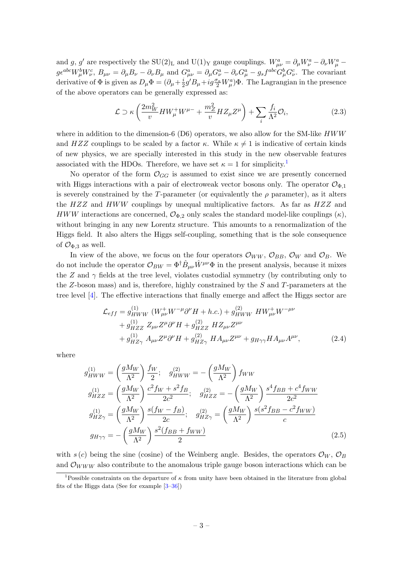and g, g' are respectively the SU(2)<sub>L</sub> and U(1)<sub>Y</sub> gauge couplings.  $W_{\mu\nu}^a = \partial_\mu W_\nu^a - \partial_\nu W_\mu^a$  $g\epsilon^{abc}W^b_\mu W^c_\nu, B_{\mu\nu} = \partial_\mu B_\nu - \partial_\nu B_\mu$  and  $G^a_{\mu\nu} = \partial_\mu G^a_\nu - \partial_\nu G^a_\mu - g_s f^{abc} G^b_\mu G^c_\nu$ . The covariant derivative of  $\Phi$  is given as  $D_{\mu}\Phi = (\partial_{\mu} + \frac{i}{2})$  $\frac{i}{2}g'B_\mu + ig\frac{\sigma_a}{2}W_\mu^a$ ) $\Phi$ . The Lagrangian in the presence of the above operators can be generally expressed as:

$$
\mathcal{L} \supset \kappa \left( \frac{2m_W^2}{v} H W^+_\mu W^{\mu -} + \frac{m_Z^2}{v} H Z_\mu Z^\mu \right) + \sum_i \frac{f_i}{\Lambda^2} \mathcal{O}_i, \tag{2.3}
$$

where in addition to the dimension-6 (D6) operators, we also allow for the SM-like  $HWW$ and HZZ couplings to be scaled by a factor  $\kappa$ . While  $\kappa \neq 1$  is indicative of certain kinds of new physics, we are specially interested in this study in the new observable features associated with the HDOs. Therefore, we have set  $\kappa = 1$  $\kappa = 1$  for simplicity.<sup>1</sup>

No operator of the form  $\mathcal{O}_{GG}$  is assumed to exist since we are presently concerned with Higgs interactions with a pair of electroweak vector bosons only. The operator  $\mathcal{O}_{\Phi,1}$ is severely constrained by the T-parameter (or equivalently the  $\rho$  parameter), as it alters the  $HZZ$  and  $HWW$  couplings by unequal multiplicative factors. As far as  $HZZ$  and HWW interactions are concerned,  $\mathcal{O}_{\Phi,2}$  only scales the standard model-like couplings  $(\kappa)$ , without bringing in any new Lorentz structure. This amounts to a renormalization of the Higgs field. It also alters the Higgs self-coupling, something that is the sole consequence of  $\mathcal{O}_{\Phi,3}$  as well.

In view of the above, we focus on the four operators  $\mathcal{O}_{WW}$ ,  $\mathcal{O}_{BB}$ ,  $\mathcal{O}_{W}$  and  $\mathcal{O}_{B}$ . We do not include the operator  $\mathcal{O}_{BW} = \Phi^{\dagger} \hat{B}_{\mu\nu} \hat{W}^{\mu\nu} \Phi$  in the present analysis, because it mixes the Z and  $\gamma$  fields at the tree level, violates custodial symmetry (by contributing only to the  $Z$ -boson mass) and is, therefore, highly constrained by the  $S$  and  $T$ -parameters at the tree level [\[4\]](#page-19-3). The effective interactions that finally emerge and affect the Higgs sector are

<span id="page-3-1"></span>
$$
\mathcal{L}_{eff} = g_{HWW}^{(1)} \left( W_{\mu\nu}^+ W^{-\mu} \partial^\nu H + h.c. \right) + g_{HWW}^{(2)} \left. H W_{\mu\nu}^+ W^{-\mu\nu} \right. \n+ g_{HZZ}^{(1)} \left. Z_{\mu\nu} Z^{\mu} \partial^\nu H + g_{HZZ}^{(2)} \left. H Z_{\mu\nu} Z^{\mu\nu} \right. \n+ g_{HZ\gamma}^{(1)} \left. A_{\mu\nu} Z^{\mu} \partial^\nu H + g_{HZ\gamma}^{(2)} \left. H A_{\mu\nu} Z^{\mu\nu} + g_{H\gamma\gamma} H A_{\mu\nu} A^{\mu\nu} \right. \right), \tag{2.4}
$$

where

$$
g_{HWW}^{(1)} = \left(\frac{gM_W}{\Lambda^2}\right) \frac{f_W}{2}; \quad g_{HWW}^{(2)} = -\left(\frac{gM_W}{\Lambda^2}\right) f_{WW}
$$
  
\n
$$
g_{HZZ}^{(1)} = \left(\frac{gM_W}{\Lambda^2}\right) \frac{c^2 f_W + s^2 f_B}{2c^2}; \quad g_{HZZ}^{(2)} = -\left(\frac{gM_W}{\Lambda^2}\right) \frac{s^4 f_{BB} + c^4 f_{WW}}{2c^2}
$$
  
\n
$$
g_{HZ\gamma}^{(1)} = \left(\frac{gM_W}{\Lambda^2}\right) \frac{s(f_W - f_B)}{2c}; \quad g_{HZ\gamma}^{(2)} = \left(\frac{gM_W}{\Lambda^2}\right) \frac{s(s^2 f_{BB} - c^2 f_{WW})}{c}
$$
  
\n
$$
g_{H\gamma\gamma} = -\left(\frac{gM_W}{\Lambda^2}\right) \frac{s^2 (f_{BB} + f_{WW})}{2}
$$
\n(2.5)

with s (c) being the sine (cosine) of the Weinberg angle. Besides, the operators  $\mathcal{O}_W$ ,  $\mathcal{O}_B$ and  $\mathcal{O}_{WWW}$  also contribute to the anomalous triple gauge boson interactions which can be

<span id="page-3-0"></span><sup>&</sup>lt;sup>1</sup>Possible constraints on the departure of  $\kappa$  from unity have been obtained in the literature from global fits of the Higgs data (See for example [\[3](#page-19-2)[–36\]](#page-20-1))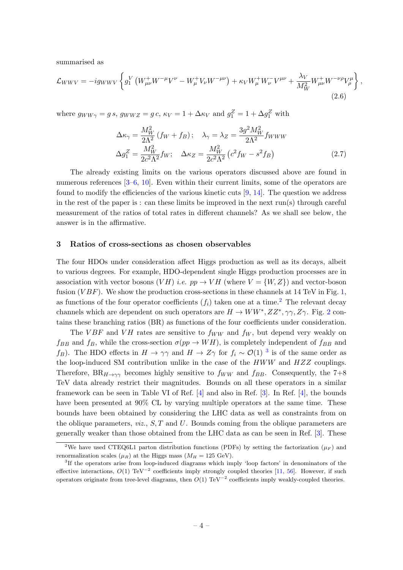summarised as

$$
\mathcal{L}_{WWV} = -ig_{WWV} \left\{ g_1^V \left( W_{\mu\nu}^+ W^{-\mu} V^{\nu} - W_{\mu}^+ V_{\nu} W^{-\mu\nu} \right) + \kappa_V W_{\mu}^+ W_{\nu}^- V^{\mu\nu} + \frac{\lambda_V}{M_W^2} W_{\mu\nu}^+ W^{-\nu\rho} V_{\rho}^{\mu} \right\},
$$
\n(2.6)

where  $g_{WW\gamma} = g s$ ,  $g_{WWZ} = g c$ ,  $\kappa_V = 1 + \Delta \kappa_V$  and  $g_1^Z = 1 + \Delta g_1^Z$  with

$$
\Delta \kappa_{\gamma} = \frac{M_W^2}{2\Lambda^2} (f_W + f_B); \quad \lambda_{\gamma} = \lambda_Z = \frac{3g^2 M_W^2}{2\Lambda^2} f_{WWW}
$$
  

$$
\Delta g_1^Z = \frac{M_W^2}{2c^2\Lambda^2} f_W; \quad \Delta \kappa_Z = \frac{M_W^2}{2c^2\Lambda^2} (c^2 f_W - s^2 f_B)
$$
 (2.7)

The already existing limits on the various operators discussed above are found in numerous references  $[3-6, 10]$  $[3-6, 10]$  $[3-6, 10]$  $[3-6, 10]$ . Even within their current limits, some of the operators are found to modify the efficiencies of the various kinetic cuts  $[9, 14]$  $[9, 14]$ . The question we address in the rest of the paper is : can these limits be improved in the next run(s) through careful measurement of the ratios of total rates in different channels? As we shall see below, the answer is in the affirmative.

#### <span id="page-4-0"></span>3 Ratios of cross-sections as chosen observables

The four HDOs under consideration affect Higgs production as well as its decays, albeit to various degrees. For example, HDO-dependent single Higgs production processes are in association with vector bosons  $(VH)$  *i.e.*  $pp \rightarrow VH$  (where  $V = \{W, Z\}$ ) and vector-boson fusion ( $VBF$ ). We show the production cross-sections in these channels at 14 TeV in Fig. [1,](#page-5-1) as functions of the four operator coefficients  $(f_i)$  taken one at a time.<sup>[2](#page-4-1)</sup> The relevant decay channels which are dependent on such operators are  $H \to WW^*, ZZ^*, \gamma\gamma, Z\gamma$ . Fig. [2](#page-6-0) contains these branching ratios (BR) as functions of the four coefficients under consideration.

The VBF and VH rates are sensitive to  $f_{WW}$  and  $f_W$ , but depend very weakly on  $f_{BB}$  and  $f_B$ , while the cross-section  $\sigma(pp \to WH)$ , is completely independent of  $f_{BB}$  and f<sub>B</sub>). The HDO effects in  $H \to \gamma\gamma$  and  $H \to Z\gamma$  for  $f_i \sim \mathcal{O}(1)^{-3}$  $f_i \sim \mathcal{O}(1)^{-3}$  $f_i \sim \mathcal{O}(1)^{-3}$  is of the same order as the loop-induced SM contribution unlike in the case of the  $HWW$  and  $HZZ$  couplings. Therefore,  $BR_{H\rightarrow\gamma\gamma}$  becomes highly sensitive to  $f_{WW}$  and  $f_{BB}$ . Consequently, the 7+8 TeV data already restrict their magnitudes. Bounds on all these operators in a similar framework can be seen in Table VI of Ref. [\[4\]](#page-19-3) and also in Ref. [\[3\]](#page-19-2). In Ref. [\[4\]](#page-19-3), the bounds have been presented at 90% CL by varying multiple operators at the same time. These bounds have been obtained by considering the LHC data as well as constraints from on the oblique parameters,  $viz, S, T$  and U. Bounds coming from the oblique parameters are generally weaker than those obtained from the LHC data as can be seen in Ref. [\[3\]](#page-19-2). These

<span id="page-4-1"></span><sup>&</sup>lt;sup>2</sup>We have used CTEQ6L1 parton distribution functions (PDFs) by setting the factorization ( $\mu_F$ ) and renormalization scales ( $\mu_R$ ) at the Higgs mass ( $M_H = 125 \text{ GeV}$ ).

<span id="page-4-2"></span><sup>3</sup> If the operators arise from loop-induced diagrams which imply 'loop factors' in denominators of the effective interactions,  $O(1)$  TeV<sup>-2</sup> coefficients imply strongly coupled theories [\[11,](#page-19-8) [56\]](#page-22-0). However, if such operators originate from tree-level diagrams, then  $O(1)$  TeV<sup>-2</sup> coefficients imply weakly-coupled theories.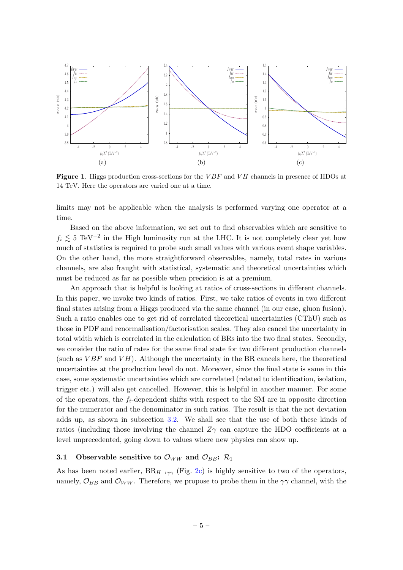<span id="page-5-2"></span>

<span id="page-5-4"></span><span id="page-5-3"></span><span id="page-5-1"></span>**Figure 1.** Higgs production cross-sections for the  $VBF$  and  $VH$  channels in presence of HDOs at 14 TeV. Here the operators are varied one at a time.

limits may not be applicable when the analysis is performed varying one operator at a time.

Based on the above information, we set out to find observables which are sensitive to  $f_i \lesssim 5 \text{ TeV}^{-2}$  in the High luminosity run at the LHC. It is not completely clear yet how much of statistics is required to probe such small values with various event shape variables. On the other hand, the more straightforward observables, namely, total rates in various channels, are also fraught with statistical, systematic and theoretical uncertainties which must be reduced as far as possible when precision is at a premium.

An approach that is helpful is looking at ratios of cross-sections in different channels. In this paper, we invoke two kinds of ratios. First, we take ratios of events in two different final states arising from a Higgs produced via the same channel (in our case, gluon fusion). Such a ratio enables one to get rid of correlated theoretical uncertainties (CThU) such as those in PDF and renormalisation/factorisation scales. They also cancel the uncertainty in total width which is correlated in the calculation of BRs into the two final states. Secondly, we consider the ratio of rates for the same final state for two different production channels (such as  $VBF$  and  $VH$ ). Although the uncertainty in the BR cancels here, the theoretical uncertainties at the production level do not. Moreover, since the final state is same in this case, some systematic uncertainties which are correlated (related to identification, isolation, trigger etc.) will also get cancelled. However, this is helpful in another manner. For some of the operators, the  $f_i$ -dependent shifts with respect to the SM are in opposite direction for the numerator and the denominator in such ratios. The result is that the net deviation adds up, as shown in subsection [3.2.](#page-7-0) We shall see that the use of both these kinds of ratios (including those involving the channel  $Z_{\gamma}$  can capture the HDO coefficients at a level unprecedented, going down to values where new physics can show up.

## <span id="page-5-0"></span>3.1 Observable sensitive to  $\mathcal{O}_{WW}$  and  $\mathcal{O}_{BB}$ :  $\mathcal{R}_1$

As has been noted earlier,  $BR_{H\rightarrow\gamma\gamma}$  (Fig. [2c\)](#page-6-1) is highly sensitive to two of the operators, namely,  $\mathcal{O}_{BB}$  and  $\mathcal{O}_{WW}$ . Therefore, we propose to probe them in the  $\gamma\gamma$  channel, with the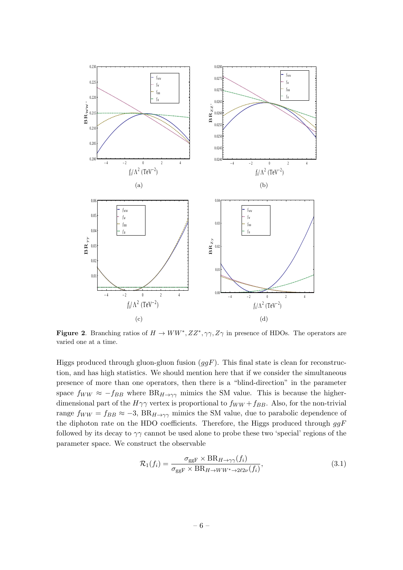<span id="page-6-4"></span><span id="page-6-2"></span><span id="page-6-1"></span>

<span id="page-6-3"></span>**Figure 2.** Branching ratios of  $H \to WW^*, ZZ^*, \gamma\gamma, Z\gamma$  in presence of HDOs. The operators are varied one at a time.

Higgs produced through gluon-gluon fusion  $(ggF)$ . This final state is clean for reconstruction, and has high statistics. We should mention here that if we consider the simultaneous presence of more than one operators, then there is a "blind-direction" in the parameter space  $f_{WW} \approx -f_{BB}$  where  $BR_{H\rightarrow\gamma\gamma}$  mimics the SM value. This is because the higherdimensional part of the  $H\gamma\gamma$  vertex is proportional to  $f_{WW} + f_{BB}$ . Also, for the non-trivial range  $f_{WW} = f_{BB} \approx -3$ ,  $BR_{H\rightarrow\gamma\gamma}$  mimics the SM value, due to parabolic dependence of the diphoton rate on the HDO coefficients. Therefore, the Higgs produced through  $ggF$ followed by its decay to  $\gamma\gamma$  cannot be used alone to probe these two 'special' regions of the parameter space. We construct the observable

<span id="page-6-0"></span>
$$
\mathcal{R}_1(f_i) = \frac{\sigma_{\text{ggF}} \times \text{BR}_{H \to \gamma\gamma}(f_i)}{\sigma_{\text{ggF}} \times \text{BR}_{H \to WW^* \to 2\ell 2\nu}(f_i)},\tag{3.1}
$$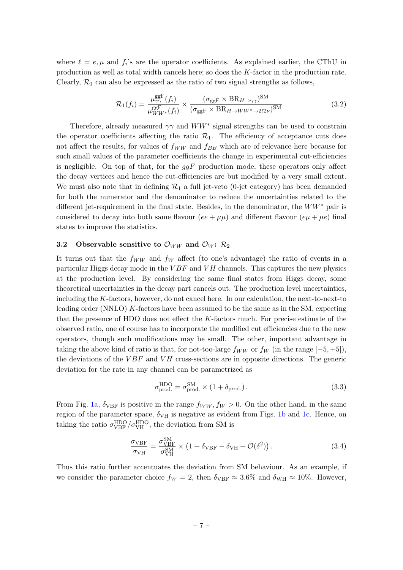where  $\ell = e, \mu$  and  $f_i$ 's are the operator coefficients. As explained earlier, the CThU in production as well as total width cancels here; so does the K-factor in the production rate. Clearly,  $\mathcal{R}_1$  can also be expressed as the ratio of two signal strengths as follows,

$$
\mathcal{R}_1(f_i) = \frac{\mu_{\gamma\gamma}^{\rm ggF}(f_i)}{\mu_{WW^*}^{\rm ggF}(f_i)} \times \frac{(\sigma_{\rm ggF} \times \text{BR}_{H \to \gamma\gamma})^{\rm SM}}{(\sigma_{\rm ggF} \times \text{BR}_{H \to WW^* \to 2\ell 2\nu})^{\rm SM}}.
$$
\n(3.2)

Therefore, already measured  $\gamma\gamma$  and  $WW^*$  signal strengths can be used to constrain the operator coefficients affecting the ratio  $\mathcal{R}_1$ . The efficiency of acceptance cuts does not affect the results, for values of  $f_{WW}$  and  $f_{BB}$  which are of relevance here because for such small values of the parameter coefficients the change in experimental cut-efficiencies is negligible. On top of that, for the  $ggF$  production mode, these operators only affect the decay vertices and hence the cut-efficiencies are but modified by a very small extent. We must also note that in defining  $\mathcal{R}_1$  a full jet-veto (0-jet category) has been demanded for both the numerator and the denominator to reduce the uncertainties related to the different jet-requirement in the final state. Besides, in the denominator, the  $WW^*$  pair is considered to decay into both same flavour (ee +  $\mu\mu$ ) and different flavour (e $\mu + \mu e$ ) final states to improve the statistics.

## <span id="page-7-0"></span>3.2 Observable sensitive to  $\mathcal{O}_{WW}$  and  $\mathcal{O}_W$ :  $\mathcal{R}_2$

It turns out that the  $f_{WW}$  and  $f_W$  affect (to one's advantage) the ratio of events in a particular Higgs decay mode in the  $VBF$  and  $VH$  channels. This captures the new physics at the production level. By considering the same final states from Higgs decay, some theoretical uncertainties in the decay part cancels out. The production level uncertainties, including the K-factors, however, do not cancel here. In our calculation, the next-to-next-to leading order (NNLO) K-factors have been assumed to be the same as in the SM, expecting that the presence of HDO does not effect the  $K$ -factors much. For precise estimate of the observed ratio, one of course has to incorporate the modified cut efficiencies due to the new operators, though such modifications may be small. The other, important advantage in taking the above kind of ratio is that, for not-too-large  $f_{WW}$  or  $f_W$  (in the range  $[-5, +5]$ ), the deviations of the  $VBF$  and  $VH$  cross-sections are in opposite directions. The generic deviation for the rate in any channel can be parametrized as

$$
\sigma_{\text{prod.}}^{\text{HDO}} = \sigma_{\text{prod.}}^{\text{SM}} \times (1 + \delta_{\text{prod.}}). \tag{3.3}
$$

From Fig. [1a,](#page-5-2)  $\delta_{VBF}$  is positive in the range  $f_{WW}$ ,  $f_W > 0$ . On the other hand, in the same region of the parameter space,  $\delta_{\text{VH}}$  is negative as evident from Figs. [1b](#page-5-3) and [1c.](#page-5-4) Hence, on taking the ratio  $\sigma_{\text{VBF}}^{\text{HDO}} / \sigma_{\text{VH}}^{\text{HDO}}$ , the deviation from SM is

$$
\frac{\sigma_{\text{VBF}}}{\sigma_{\text{VH}}} = \frac{\sigma_{\text{VBF}}^{\text{SM}}}{\sigma_{\text{VH}}^{\text{SM}}} \times \left(1 + \delta_{\text{VBF}} - \delta_{\text{VH}} + \mathcal{O}(\delta^2)\right). \tag{3.4}
$$

Thus this ratio further accentuates the deviation from SM behaviour. As an example, if we consider the parameter choice  $f_W = 2$ , then  $\delta_{VBF} \approx 3.6\%$  and  $\delta_{WH} \approx 10\%$ . However,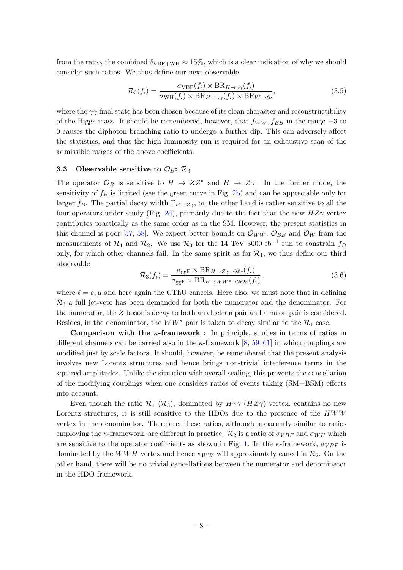from the ratio, the combined  $\delta_{VBF+WH} \approx 15\%$ , which is a clear indication of why we should consider such ratios. We thus define our next observable

<span id="page-8-1"></span>
$$
\mathcal{R}_2(f_i) = \frac{\sigma_{\text{VBF}}(f_i) \times \text{BR}_{H \to \gamma\gamma}(f_i)}{\sigma_{\text{WH}}(f_i) \times \text{BR}_{H \to \gamma\gamma}(f_i) \times \text{BR}_{W \to \ell\nu}},\tag{3.5}
$$

where the  $\gamma\gamma$  final state has been chosen because of its clean character and reconstructibility of the Higgs mass. It should be remembered, however, that  $f_{WW}$ ,  $f_{BB}$  in the range  $-3$  to 0 causes the diphoton branching ratio to undergo a further dip. This can adversely affect the statistics, and thus the high luminosity run is required for an exhaustive scan of the admissible ranges of the above coefficients.

# <span id="page-8-0"></span>3.3 Observable sensitive to  $\mathcal{O}_B$ :  $\mathcal{R}_3$

The operator  $\mathcal{O}_B$  is sensitive to  $H \to ZZ^*$  and  $H \to Z\gamma$ . In the former mode, the sensitivity of  $f_B$  is limited (see the green curve in Fig. [2b\)](#page-6-2) and can be appreciable only for larger f<sub>B</sub>. The partial decay width  $\Gamma_{H\to Z\gamma}$ , on the other hand is rather sensitive to all the four operators under study (Fig. [2d\)](#page-6-3), primarily due to the fact that the new  $HZ\gamma$  vertex contributes practically as the same order as in the SM. However, the present statistics in this channel is poor [\[57,](#page-22-1) [58\]](#page-22-2). We expect better bounds on  $\mathcal{O}_{WW}$ ,  $\mathcal{O}_{BB}$  and  $\mathcal{O}_{W}$  from the measurements of  $\mathcal{R}_1$  and  $\mathcal{R}_2$ . We use  $\mathcal{R}_3$  for the 14 TeV 3000 fb<sup>-1</sup> run to constrain  $f_B$ only, for which other channels fail. In the same spirit as for  $\mathcal{R}_1$ , we thus define our third observable

$$
\mathcal{R}_3(f_i) = \frac{\sigma_{\text{ggF}} \times \text{BR}_{H \to Z\gamma \to 2\ell\gamma}(f_i)}{\sigma_{\text{ggF}} \times \text{BR}_{H \to WW^* \to 2\ell 2\nu}(f_i)},\tag{3.6}
$$

where  $\ell = e, \mu$  and here again the CThU cancels. Here also, we must note that in defining  $\mathcal{R}_3$  a full jet-veto has been demanded for both the numerator and the denominator. For the numerator, the Z boson's decay to both an electron pair and a muon pair is considered. Besides, in the denominator, the  $WW^*$  pair is taken to decay similar to the  $\mathcal{R}_1$  case.

**Comparison with the**  $\kappa$ **-framework :** In principle, studies in terms of ratios in different channels can be carried also in the  $\kappa$ -framework [\[8,](#page-19-9) [59–](#page-22-3)[61\]](#page-22-4) in which couplings are modified just by scale factors. It should, however, be remembered that the present analysis involves new Lorentz structures and hence brings non-trivial interference terms in the squared amplitudes. Unlike the situation with overall scaling, this prevents the cancellation of the modifying couplings when one considers ratios of events taking (SM+BSM) effects into account.

Even though the ratio  $\mathcal{R}_1$  ( $\mathcal{R}_3$ ), dominated by  $H\gamma\gamma$  ( $HZ\gamma$ ) vertex, contains no new Lorentz structures, it is still sensitive to the HDOs due to the presence of the HWW vertex in the denominator. Therefore, these ratios, although apparently similar to ratios employing the  $\kappa$ -framework, are different in practice.  $\mathcal{R}_2$  is a ratio of  $\sigma_{VBF}$  and  $\sigma_{WH}$  which are sensitive to the operator coefficients as shown in Fig. [1.](#page-5-1) In the  $\kappa$ -framework,  $\sigma_{VBF}$  is dominated by the WWH vertex and hence  $\kappa_{WW}$  will approximately cancel in  $\mathcal{R}_2$ . On the other hand, there will be no trivial cancellations between the numerator and denominator in the HDO-framework.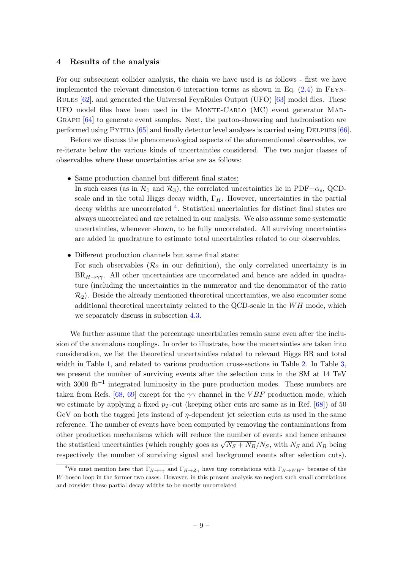#### <span id="page-9-0"></span>4 Results of the analysis

For our subsequent collider analysis, the chain we have used is as follows - first we have implemented the relevant dimension-6 interaction terms as shown in Eq. [\(2.4\)](#page-3-1) in Feyn-Rules [\[62\]](#page-22-5), and generated the Universal FeynRules Output (UFO) [\[63\]](#page-22-6) model files. These UFO model files have been used in the MONTE-CARLO (MC) event generator MAD-GRAPH  $[64]$  to generate event samples. Next, the parton-showering and hadronisation are performed using Pythia [\[65\]](#page-22-8) and finally detector level analyses is carried using Delphes [\[66\]](#page-22-9).

Before we discuss the phenomenological aspects of the aforementioned observables, we re-iterate below the various kinds of uncertainties considered. The two major classes of observables where these uncertainties arise are as follows:

• Same production channel but different final states:

In such cases (as in  $\mathcal{R}_1$  and  $\mathcal{R}_3$ ), the correlated uncertainties lie in PDF+ $\alpha_s$ , QCDscale and in the total Higgs decay width,  $\Gamma_H$ . However, uncertainties in the partial decay widths are uncorrelated <sup>[4](#page-9-1)</sup>. Statistical uncertainties for distinct final states are always uncorrelated and are retained in our analysis. We also assume some systematic uncertainties, whenever shown, to be fully uncorrelated. All surviving uncertainties are added in quadrature to estimate total uncertainties related to our observables.

• Different production channels but same final state:

For such observables ( $\mathcal{R}_2$  in our definition), the only correlated uncertainty is in  $BR_{H\to\gamma\gamma}$ . All other uncertainties are uncorrelated and hence are added in quadrature (including the uncertainties in the numerator and the denominator of the ratio  $\mathcal{R}_2$ ). Beside the already mentioned theoretical uncertainties, we also encounter some additional theoretical uncertainty related to the QCD-scale in the  $WH$  mode, which we separately discuss in subsection [4.3.](#page-14-0)

We further assume that the percentage uncertainties remain same even after the inclusion of the anomalous couplings. In order to illustrate, how the uncertainties are taken into consideration, we list the theoretical uncertainties related to relevant Higgs BR and total width in Table [1,](#page-10-0) and related to various production cross-sections in Table [2.](#page-10-1) In Table [3,](#page-10-2) we present the number of surviving events after the selection cuts in the SM at 14 TeV with 3000 fb−<sup>1</sup> integrated luminosity in the pure production modes. These numbers are taken from Refs. [\[68,](#page-22-10) [69\]](#page-22-11) except for the  $\gamma\gamma$  channel in the VBF production mode, which we estimate by applying a fixed  $p_T$ -cut (keeping other cuts are same as in Ref. [\[68\]](#page-22-10)) of 50 GeV on both the tagged jets instead of  $\eta$ -dependent jet selection cuts as used in the same reference. The number of events have been computed by removing the contaminations from other production mechanisms which will reduce the number of events and hence enhance the statistical uncertainties (which roughly goes as  $\sqrt{N_S + N_B}/N_S$ , with  $N_S$  and  $N_B$  being respectively the number of surviving signal and background events after selection cuts).

<span id="page-9-1"></span><sup>&</sup>lt;sup>4</sup>We must mention here that  $\Gamma_{H\to\gamma\gamma}$  and  $\Gamma_{H\to Z\gamma}$  have tiny correlations with  $\Gamma_{H\to WW^*}$  because of the W-boson loop in the former two cases. However, in this present analysis we neglect such small correlations and consider these partial decay widths to be mostly uncorrelated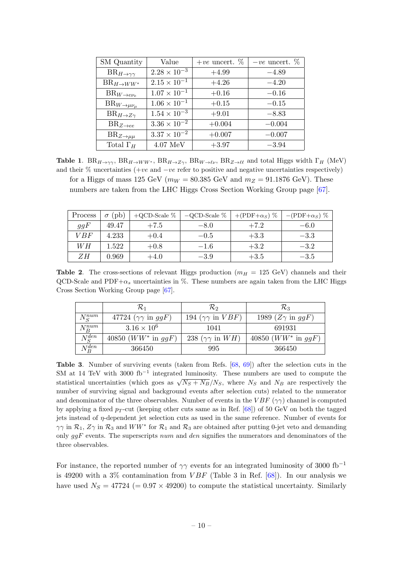<span id="page-10-0"></span>

| <b>SM</b> Quantity              | Value                 | +ve uncert. $\%$ | $-ve$ uncert. $\%$ |
|---------------------------------|-----------------------|------------------|--------------------|
| $BR_{H\rightarrow\gamma\gamma}$ | $2.28 \times 10^{-3}$ | $+4.99$          | $-4.89$            |
| $BR_{H\rightarrow WW^*}$        | $2.15 \times 10^{-1}$ | $+4.26$          | $-4.20$            |
| $BR_{W\rightarrow e\nu_e}$      | $1.07 \times 10^{-1}$ | $+0.16$          | $-0.16$            |
| $BR_{W\to\mu\nu_\mu}$           | $1.06 \times 10^{-1}$ | $+0.15$          | $-0.15$            |
| $BR_{H\rightarrow Z\gamma}$     | $1.54 \times 10^{-3}$ | $+9.01$          | $-8.83$            |
| $BR_{Z\rightarrow ee}$          | $3.36 \times 10^{-2}$ | $+0.004$         | $-0.004$           |
| $BR_{Z\rightarrow \mu\mu}$      | $3.37 \times 10^{-2}$ | $+0.007$         | $-0.007$           |
| Total $\Gamma_H$                | $4.07 \text{ MeV}$    | $+3.97$          | $-3.94$            |

**Table 1.**  $BR_{H\to\gamma\gamma}$ ,  $BR_{H\to WW^*}$ ,  $BR_{H\to Z\gamma}$ ,  $BR_{W\to\ell\nu}$ ,  $BR_{Z\to\ell\ell}$  and total Higgs width  $\Gamma_H$  (MeV) and their % uncertainties (+ve and −ve refer to positive and negative uncertainties respectively) for a Higgs of mass 125 GeV ( $m_W = 80.385$  GeV and  $m_Z = 91.1876$  GeV). These numbers are taken from the LHC Higgs Cross Section Working Group page [\[67\]](#page-22-12).

<span id="page-10-1"></span>

| Process | 'pb<br>$\sigma$ | +QCD-Scale $%$ | $-QCD-Scale$ % | +(PDF+ $\alpha$ s) % | $-(PDF+\alpha_S)\%$ |
|---------|-----------------|----------------|----------------|----------------------|---------------------|
| ggF     | 49.47           | $+7.5$         | $-8.0$         | $+7.2$               | $-6.0$              |
| VBF     | 4.233           | $+0.4$         | $-0.5$         | $+3.3$               | $-3.3$              |
| WН      | 1.522           | $+0.8$         | $-1.6$         | $+3.2$               | $-3.2$              |
| ZΗ      | 0.969           | $+4.0$         | $-3.9$         | $+3.5$               | $-3.5$              |

**Table 2.** The cross-sections of relevant Higgs production ( $m_H = 125$  GeV) channels and their QCD-Scale and  $PDF+\alpha_s$  uncertainties in %. These numbers are again taken from the LHC Higgs Cross Section Working Group page [\[67\]](#page-22-12).

<span id="page-10-2"></span>

|               | K1                                      | R2                                   | $\mathcal{R}_3$                  |
|---------------|-----------------------------------------|--------------------------------------|----------------------------------|
| $N_S^{num}$   | 47724 $(\gamma \gamma \text{ in } ggF)$ | 194 $(\gamma \gamma$ in $VBF)$       | 1989 $(Z\gamma \text{ in } ggF)$ |
| $N_B^{num}$   | $3.16 \times 10^{6}$                    | 1041                                 | 691931                           |
| $N^{den}_{S}$ | 40850 ( $WW^*$ in $ggF$ )               | 238 $(\gamma \gamma \text{ in } WH)$ | 40850 ( $WW^*$ in $ggF$ )        |
| $N_B^{den}$   | 366450                                  | 995                                  | 366450                           |

Table 3. Number of surviving events (taken from Refs. [\[68,](#page-22-10) [69\]](#page-22-11)) after the selection cuts in the SM at 14 TeV with 3000 fb<sup>-1</sup> integrated luminosity. These numbers are used to compute the statistical uncertainties (which goes as  $\sqrt{N_S + N_B}$ ) $N_S$ , where  $N_S$  and  $N_B$  are respectively the number of surviving signal and background events after selection cuts) related to the numerator and denominator of the three observables. Number of events in the  $VBF(\gamma\gamma)$  channel is computed by applying a fixed  $p_T$ -cut (keeping other cuts same as in Ref. [\[68\]](#page-22-10)) of 50 GeV on both the tagged jets instead of  $\eta$ -dependent jet selection cuts as used in the same reference. Number of events for  $\gamma\gamma$  in  $\mathcal{R}_1$ ,  $Z\gamma$  in  $\mathcal{R}_3$  and  $WW^*$  for  $\mathcal{R}_1$  and  $\mathcal{R}_3$  are obtained after putting 0-jet veto and demanding only  $ggF$  events. The superscripts num and den signifies the numerators and denominators of the three observables.

For instance, the reported number of  $\gamma\gamma$  events for an integrated luminosity of 3000 fb<sup>-1</sup> is 49200 with a 3% contamination from  $VBF$  (Table 3 in Ref. [\[68\]](#page-22-10)). In our analysis we have used  $N_S = 47724 (= 0.97 \times 49200)$  to compute the statistical uncertainty. Similarly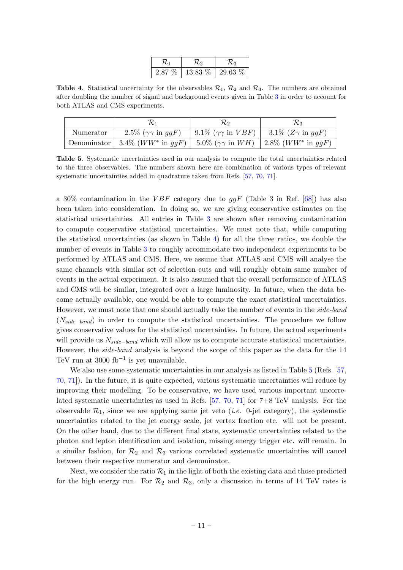<span id="page-11-1"></span><span id="page-11-0"></span>

| 2.87 % | 13.83 % | $29.63\%$ |
|--------|---------|-----------|

**Table 4.** Statistical uncertainty for the observables  $\mathcal{R}_1$ ,  $\mathcal{R}_2$  and  $\mathcal{R}_3$ . The numbers are obtained after doubling the number of signal and background events given in Table [3](#page-10-2) in order to account for both ATLAS and CMS experiments.

|           |                                                                                               | ハ                                 | バっ                                |
|-----------|-----------------------------------------------------------------------------------------------|-----------------------------------|-----------------------------------|
| Numerator | 2.5\% $(\gamma \gamma \text{ in } q \text{ gF})$                                              | 9.1\% $(\gamma \gamma$ in $VBF$ ) | 3.1\% $(Z\gamma \text{ in } ggF)$ |
|           | Denominator   3.4% $(WW^*$ in $ggF)$   5.0% $(\gamma\gamma$ in $WH)$   2.8% $(WW^*$ in $ggF)$ |                                   |                                   |

Table 5. Systematic uncertainties used in our analysis to compute the total uncertainties related to the three observables. The numbers shown here are combination of various types of relevant systematic uncertainties added in quadrature taken from Refs. [\[57,](#page-22-1) [70,](#page-22-13) [71\]](#page-23-0).

a 30% contamination in the VBF category due to  $qqF$  (Table 3 in Ref. [\[68\]](#page-22-10)) has also been taken into consideration. In doing so, we are giving conservative estimates on the statistical uncertainties. All entries in Table [3](#page-10-2) are shown after removing contamination to compute conservative statistical uncertainties. We must note that, while computing the statistical uncertainties (as shown in Table [4\)](#page-11-0) for all the three ratios, we double the number of events in Table [3](#page-10-2) to roughly accommodate two independent experiments to be performed by ATLAS and CMS. Here, we assume that ATLAS and CMS will analyse the same channels with similar set of selection cuts and will roughly obtain same number of events in the actual experiment. It is also assumed that the overall performance of ATLAS and CMS will be similar, integrated over a large luminosity. In future, when the data become actually available, one would be able to compute the exact statistical uncertainties. However, we must note that one should actually take the number of events in the *side-band*  $(N_{side-band})$  in order to compute the statistical uncertainties. The procedure we follow gives conservative values for the statistical uncertainties. In future, the actual experiments will provide us  $N_{side-band}$  which will allow us to compute accurate statistical uncertainties. However, the side-band analysis is beyond the scope of this paper as the data for the 14 TeV run at 3000 fb<sup>-1</sup> is yet unavailable.

We also use some systematic uncertainties in our analysis as listed in Table [5](#page-11-1) (Refs. [\[57,](#page-22-1) [70,](#page-22-13) [71\]](#page-23-0)). In the future, it is quite expected, various systematic uncertainties will reduce by improving their modelling. To be conservative, we have used various important uncorrelated systematic uncertainties as used in Refs. [\[57,](#page-22-1) [70,](#page-22-13) [71\]](#page-23-0) for 7+8 TeV analysis. For the observable  $\mathcal{R}_1$ , since we are applying same jet veto (*i.e.* 0-jet category), the systematic uncertainties related to the jet energy scale, jet vertex fraction etc. will not be present. On the other hand, due to the different final state, systematic uncertainties related to the photon and lepton identification and isolation, missing energy trigger etc. will remain. In a similar fashion, for  $\mathcal{R}_2$  and  $\mathcal{R}_3$  various correlated systematic uncertainties will cancel between their respective numerator and denominator.

Next, we consider the ratio  $\mathcal{R}_1$  in the light of both the existing data and those predicted for the high energy run. For  $\mathcal{R}_2$  and  $\mathcal{R}_3$ , only a discussion in terms of 14 TeV rates is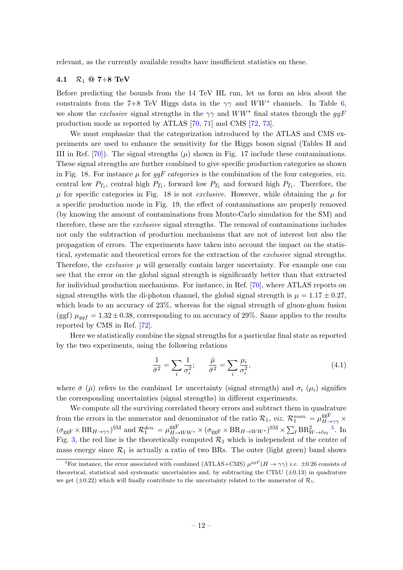relevant, as the currently available results have insufficient statistics on these.

# <span id="page-12-0"></span>4.1  $R_1 @ 7+8$  TeV

Before predicting the bounds from the 14 TeV HL run, let us form an idea about the constraints from the 7+8 TeV Higgs data in the  $\gamma\gamma$  and  $WW^*$  channels. In Table [6,](#page-13-1) we show the *exclusive* signal strengths in the  $\gamma\gamma$  and  $WW^*$  final states through the ggF production mode as reported by ATLAS [\[70,](#page-22-13) [71\]](#page-23-0) and CMS [\[72,](#page-23-1) [73\]](#page-23-2).

We must emphasize that the categorization introduced by the ATLAS and CMS experiments are used to enhance the sensitivity for the Higgs boson signal (Tables II and III in Ref. [\[70\]](#page-22-13)). The signal strengths  $(\mu)$  shown in Fig. 17 include these contaminations. These signal strengths are further combined to give specific production categories as shown in Fig. 18. For instance  $\mu$  for ggF categories is the combination of the four categories, viz. central low  $P_{T_t}$ , central high  $P_{T_t}$ , forward low  $P_{T_t}$  and forward high  $P_{T_t}$ . Therefore, the  $\mu$  for specific categories in Fig. 18 is not *exclusive*. However, while obtaining the  $\mu$  for a specific production mode in Fig. 19, the effect of contaminations are properly removed (by knowing the amount of contaminations from Monte-Carlo simulation for the SM) and therefore, these are the exclusive signal strengths. The removal of contaminations includes not only the subtraction of production mechanisms that are not of interest but also the propagation of errors. The experiments have taken into account the impact on the statistical, systematic and theoretical errors for the extraction of the *exclusive* signal strengths. Therefore, the *exclusive*  $\mu$  will generally contain larger uncertainty. For example one can see that the error on the global signal strength is significantly better than that extracted for individual production mechanisms. For instance, in Ref. [\[70\]](#page-22-13), where ATLAS reports on signal strengths with the di-photon channel, the global signal strength is  $\mu = 1.17 \pm 0.27$ , which leads to an accuracy of 23%, whereas for the signal strength of gluon-gluon fusion (ggf)  $\mu_{ggf} = 1.32 \pm 0.38$ , corresponding to an accuracy of 29%. Same applies to the results reported by CMS in Ref. [\[72\]](#page-23-1).

Here we statistically combine the signal strengths for a particular final state as reported by the two experiments, using the following relations

<span id="page-12-2"></span>
$$
\frac{1}{\bar{\sigma}^2} = \sum_{i} \frac{1}{\sigma_i^2}; \qquad \frac{\bar{\mu}}{\bar{\sigma}^2} = \sum_{i} \frac{\mu_i}{\sigma_i^2},\tag{4.1}
$$

where  $\bar{\sigma}$  ( $\bar{\mu}$ ) refers to the combined 1 $\sigma$  uncertainty (signal strength) and  $\sigma_i$  ( $\mu_i$ ) signifies the corresponding uncertainties (signal strengths) in different experiments.

We compute all the surviving correlated theory errors and subtract them in quadrature from the errors in the numerator and denominator of the ratio  $\mathcal{R}_1$ , *viz.*  $\mathcal{R}_1^{num.} = \mu_{H-}^{ggF}$  $\widetilde{H} \rightarrow \gamma \gamma$   $\times$  $(\sigma_{ggF} \times BR_{H \to \gamma\gamma})^{SM}$  and  $\mathcal{R}_1^{den.} = \mu_{H \to WW^*}^{ggF} \times (\sigma_{ggF} \times BR_{H \to WW^*})^{SM} \times \sum_{\ell} BR_{W \to \ell \nu_{\ell}}^{2}$ <sup>[5](#page-12-1)</sup>. In Fig. [3,](#page-14-1) the red line is the theoretically computed  $\mathcal{R}_1$  which is independent of the centre of mass energy since  $\mathcal{R}_1$  is actually a ratio of two BRs. The outer (light green) band shows

<span id="page-12-1"></span><sup>&</sup>lt;sup>5</sup>For instance, the error associated with combined (ATLAS+CMS)  $\mu^{ggF}(H \to \gamma\gamma)$  *i.e.*  $\pm 0.26$  consists of theoretical, statistical and systematic uncertainties and, by subtracting the CThU  $(\pm 0.13)$  in quadrature we get ( $\pm$ 0.22) which will finally contribute to the uncertainty related to the numerator of  $\mathcal{R}_1$ .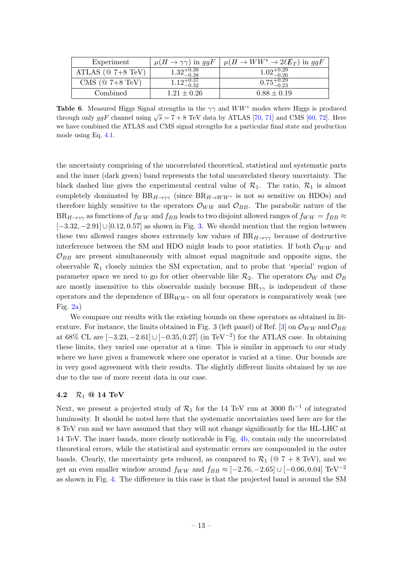<span id="page-13-1"></span>

| Experiment            | $\mu(H \to \gamma\gamma)$ in ggF | $\mu(H \to WW^* \to 2\ell E_T)$ in ggF |
|-----------------------|----------------------------------|----------------------------------------|
| ATLAS ( $@ 7+8 TeV$ ) | $1.32_{-0.38}^{+0.38}$           | $1.02_{-0.26}^{+0.29}$                 |
| CMS ( $@ 7+8 TeV$ )   | $1.12_{-0.32}^{+0.37}$           | $0.75^{+0.29}_{-0.23}$                 |
| Combined              | $1.21 \pm 0.26$                  | $0.88 \pm 0.19$                        |

**Table 6.** Measured Higgs Signal strengths in the  $\gamma\gamma$  and  $WW^*$  modes where Higgs is produced through only  $ggF$  channel using  $\sqrt{s} = 7 + 8$  TeV data by ATLAS [\[70,](#page-22-13) [71\]](#page-23-0) and CMS [\[60,](#page-22-14) [72\]](#page-23-1). Here we have combined the ATLAS and CMS signal strengths for a particular final state and production mode using Eq. [4.1.](#page-12-2)

the uncertainty comprising of the uncorrelated theoretical, statistical and systematic parts and the inner (dark green) band represents the total uncorrelated theory uncertainty. The black dashed line gives the experimental central value of  $\mathcal{R}_1$ . The ratio,  $\mathcal{R}_1$  is almost completely dominated by  $BR_{H\to\gamma\gamma}$  (since  $BR_{H\to WW^*}$  is not so sensitive on HDOs) and therefore highly sensitive to the operators  $\mathcal{O}_{WW}$  and  $\mathcal{O}_{BB}$ . The parabolic nature of the  $BR_{H\to\gamma\gamma}$  as functions of  $f_{WW}$  and  $f_{BB}$  leads to two disjoint allowed ranges of  $f_{WW} = f_{BB} \approx$  $[-3.32, -2.91] \cup [0.12, 0.57]$  $[-3.32, -2.91] \cup [0.12, 0.57]$  $[-3.32, -2.91] \cup [0.12, 0.57]$  as shown in Fig. 3. We should mention that the region between these two allowed ranges shows extremely low values of  $BR_{H\rightarrow\gamma\gamma}$  because of destructive interference between the SM and HDO might leads to poor statistics. If both  $\mathcal{O}_{WW}$  and  $\mathcal{O}_{BB}$  are present simultaneously with almost equal magnitude and opposite signs, the observable  $\mathcal{R}_1$  closely mimics the SM expectation, and to probe that 'special' region of parameter space we need to go for other observable like  $\mathcal{R}_2$ . The operators  $\mathcal{O}_W$  and  $\mathcal{O}_B$ are mostly insensitive to this observable mainly because  $BR_{\gamma\gamma}$  is independent of these operators and the dependence of  $BR_{WW*}$  on all four operators is comparatively weak (see Fig.  $2a)$ 

We compare our results with the existing bounds on these operators as obtained in lit-erature. For instance, the limits obtained in Fig. 3 (left panel) of Ref. [\[3\]](#page-19-2) on  $\mathcal{O}_{WW}$  and  $\mathcal{O}_{BB}$ at 68% CL are  $[-3.23, -2.61] \cup [-0.35, 0.27]$  (in TeV<sup>-2</sup>) for the ATLAS case. In obtaining these limits, they varied one operator at a time. This is similar in approach to our study where we have given a framework where one operator is varied at a time. Our bounds are in very good agreement with their results. The slightly different limits obtained by us are due to the use of more recent data in our case.

# <span id="page-13-0"></span>4.2  $R_1 @ 14 TeV$

Next, we present a projected study of  $\mathcal{R}_1$  for the 14 TeV run at 3000 fb<sup>-1</sup> of integrated luminosity. It should be noted here that the systematic uncertainties used here are for the 8 TeV run and we have assumed that they will not change significantly for the HL-LHC at 14 TeV. The inner bands, more clearly noticeable in Fig. [4b,](#page-15-0) contain only the uncorrelated theoretical errors, while the statistical and systematic errors are compounded in the outer bands. Clearly, the uncertainty gets reduced, as compared to  $\mathcal{R}_1$  ( $\textcircled{a}$  7 + 8 TeV), and we get an even smaller window around  $f_{WW}$  and  $f_{BB} \approx [-2.76, -2.65] \cup [-0.06, 0.04] \text{ TeV}^{-2}$ as shown in Fig. [4.](#page-15-1) The difference in this case is that the projected band is around the SM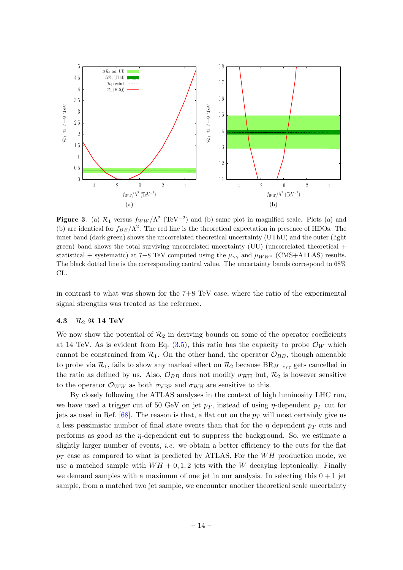

<span id="page-14-1"></span>**Figure 3.** (a)  $\mathcal{R}_1$  versus  $f_{WW}/\Lambda^2$  (TeV<sup>-2</sup>) and (b) same plot in magnified scale. Plots (a) and (b) are identical for  $f_{BB}/\Lambda^2$ . The red line is the theoretical expectation in presence of HDOs. The inner band (dark green) shows the uncorrelated theoretical uncertainty (UThU) and the outer (light green) band shows the total surviving uncorrelated uncertainty (UU) (uncorrelated theoretical + statistical + systematic) at 7+8 TeV computed using the  $\mu_{\gamma\gamma}$  and  $\mu_{WW^*}$  (CMS+ATLAS) results. The black dotted line is the corresponding central value. The uncertainty bands correspond to 68% CL.

in contrast to what was shown for the 7+8 TeV case, where the ratio of the experimental signal strengths was treated as the reference.

## <span id="page-14-0"></span>4.3  $R_2$  @ 14 TeV

We now show the potential of  $\mathcal{R}_2$  in deriving bounds on some of the operator coefficients at 14 TeV. As is evident from Eq.  $(3.5)$ , this ratio has the capacity to probe  $\mathcal{O}_W$  which cannot be constrained from  $\mathcal{R}_1$ . On the other hand, the operator  $\mathcal{O}_{BB}$ , though amenable to probe via  $\mathcal{R}_1$ , fails to show any marked effect on  $\mathcal{R}_2$  because  $BR_{H\to\gamma\gamma}$  gets cancelled in the ratio as defined by us. Also,  $\mathcal{O}_{BB}$  does not modify  $\sigma_{WH}$  but,  $\mathcal{R}_2$  is however sensitive to the operator  $\mathcal{O}_{WW}$  as both  $\sigma_{VBF}$  and  $\sigma_{WH}$  are sensitive to this.

By closely following the ATLAS analyses in the context of high luminosity LHC run, we have used a trigger cut of 50 GeV on jet  $p_T$ , instead of using  $\eta$ -dependent  $p_T$  cut for jets as used in Ref. [\[68\]](#page-22-10). The reason is that, a flat cut on the  $p_T$  will most certainly give us a less pessimistic number of final state events than that for the  $\eta$  dependent  $p<sub>T</sub>$  cuts and performs as good as the  $\eta$ -dependent cut to suppress the background. So, we estimate a slightly larger number of events, *i.e.* we obtain a better efficiency to the cuts for the flat  $p_T$  case as compared to what is predicted by ATLAS. For the WH production mode, we use a matched sample with  $WH + 0.1, 2$  jets with the W decaying leptonically. Finally we demand samples with a maximum of one jet in our analysis. In selecting this  $0 + 1$  jet sample, from a matched two jet sample, we encounter another theoretical scale uncertainty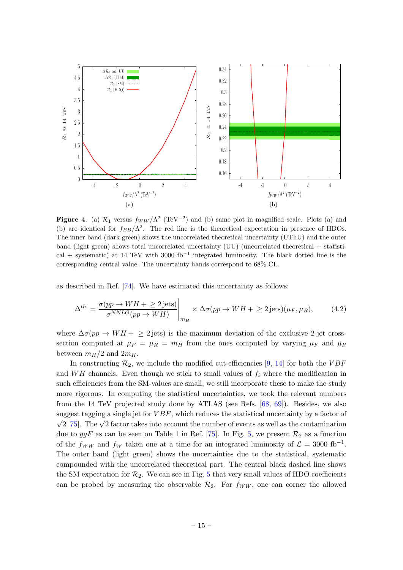

<span id="page-15-1"></span><span id="page-15-0"></span>**Figure 4.** (a)  $\mathcal{R}_1$  versus  $f_{WW}/\Lambda^2$  (TeV<sup>-2</sup>) and (b) same plot in magnified scale. Plots (a) and (b) are identical for  $f_{BB}/\Lambda^2$ . The red line is the theoretical expectation in presence of HDOs. The inner band (dark green) shows the uncorrelated theoretical uncertainty (UThU) and the outer band (light green) shows total uncorrelated uncertainty (UU) (uncorrelated theoretical + statistical + systematic) at 14 TeV with 3000  $fb^{-1}$  integrated luminosity. The black dotted line is the corresponding central value. The uncertainty bands correspond to 68% CL.

as described in Ref. [\[74\]](#page-23-3). We have estimated this uncertainty as follows:

<span id="page-15-2"></span>
$$
\Delta^{th.} = \frac{\sigma(pp \to WH + \ge 2 \text{ jets})}{\sigma^{NNLO}(pp \to WH)} \Big|_{m_H} \times \Delta \sigma(pp \to WH + \ge 2 \text{ jets})(\mu_F, \mu_R), \tag{4.2}
$$

where  $\Delta \sigma(pp \to WH + \geq 2$  jets) is the maximum deviation of the exclusive 2-jet crosssection computed at  $\mu_F = \mu_R = m_H$  from the ones computed by varying  $\mu_F$  and  $\mu_R$ between  $m_H/2$  and  $2m_H$ .

In constructing  $\mathcal{R}_2$ , we include the modified cut-efficiencies [\[9,](#page-19-6) [14\]](#page-19-7) for both the VBF and WH channels. Even though we stick to small values of  $f_i$  where the modification in such efficiencies from the SM-values are small, we still incorporate these to make the study more rigorous. In computing the statistical uncertainties, we took the relevant numbers from the 14 TeV projected study done by ATLAS (see Refs. [\[68,](#page-22-10) [69\]](#page-22-11)). Besides, we also suggest tagging a single jet for  $VBF$ , which reduces the statistical uncertainty by a factor of  $\sqrt{2}$  [\[75\]](#page-23-4). The  $\sqrt{2}$  factor takes into account the number of events as well as the contamination due to  $ggF$  as can be seen on Table 1 in Ref. [\[75\]](#page-23-4). In Fig. [5,](#page-16-1) we present  $\mathcal{R}_2$  as a function of the  $f_{WW}$  and  $f_W$  taken one at a time for an integrated luminosity of  $\mathcal{L} = 3000 \text{ fb}^{-1}$ . The outer band (light green) shows the uncertainties due to the statistical, systematic compounded with the uncorrelated theoretical part. The central black dashed line shows the SM expectation for  $\mathcal{R}_2$ . We can see in Fig. [5](#page-16-1) that very small values of HDO coefficients can be probed by measuring the observable  $\mathcal{R}_2$ . For  $f_{WW}$ , one can corner the allowed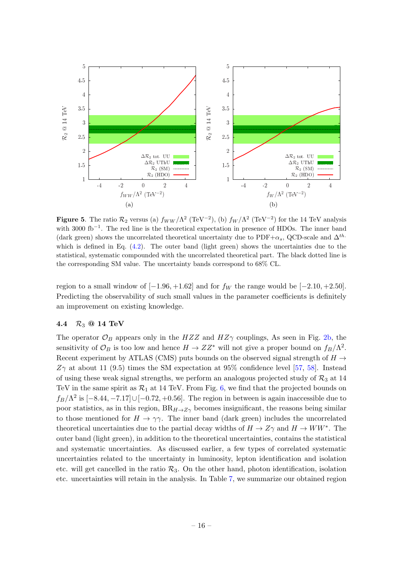

<span id="page-16-1"></span>**Figure 5.** The ratio  $\mathcal{R}_2$  versus (a)  $f_{WW}/\Lambda^2$  (TeV<sup>-2</sup>), (b)  $f_W/\Lambda^2$  (TeV<sup>-2</sup>) for the 14 TeV analysis with 3000 fb<sup>-1</sup>. The red line is the theoretical expectation in presence of HDOs. The inner band (dark green) shows the uncorrelated theoretical uncertainty due to PDF+ $\alpha_s$ , QCD-scale and  $\Delta^{th}$ . which is defined in Eq.  $(4.2)$ . The outer band (light green) shows the uncertainties due to the statistical, systematic compounded with the uncorrelated theoretical part. The black dotted line is the corresponding SM value. The uncertainty bands correspond to 68% CL.

region to a small window of  $[-1.96, +1.62]$  and for  $f_W$  the range would be  $[-2.10, +2.50]$ . Predicting the observability of such small values in the parameter coefficients is definitely an improvement on existing knowledge.

# <span id="page-16-0"></span>4.4  $R_3$  @ 14 TeV

The operator  $\mathcal{O}_B$  appears only in the HZZ and HZ $\gamma$  couplings, As seen in Fig. [2b,](#page-6-2) the sensitivity of  $\mathcal{O}_B$  is too low and hence  $H \to ZZ^*$  will not give a proper bound on  $f_B/\Lambda^2$ . Recent experiment by ATLAS (CMS) puts bounds on the observed signal strength of  $H \rightarrow$  $Z\gamma$  at about 11 (9.5) times the SM expectation at 95% confidence level [\[57,](#page-22-1) [58\]](#page-22-2). Instead of using these weak signal strengths, we perform an analogous projected study of  $\mathcal{R}_3$  at 14 TeV in the same spirit as  $\mathcal{R}_1$  at 14 TeV. From Fig. [6,](#page-17-0) we find that the projected bounds on  $f_B/\Lambda^2$  is  $[-8.44, -7.17] \cup [-0.72, +0.56]$ . The region in between is again inaccessible due to poor statistics, as in this region,  $BR_{H\to Z\gamma}$  becomes insignificant, the reasons being similar to those mentioned for  $H \to \gamma\gamma$ . The inner band (dark green) includes the uncorrelated theoretical uncertainties due to the partial decay widths of  $H \to Z\gamma$  and  $H \to WW^*$ . The outer band (light green), in addition to the theoretical uncertainties, contains the statistical and systematic uncertainties. As discussed earlier, a few types of correlated systematic uncertainties related to the uncertainty in luminosity, lepton identification and isolation etc. will get cancelled in the ratio  $\mathcal{R}_3$ . On the other hand, photon identification, isolation etc. uncertainties will retain in the analysis. In Table [7,](#page-17-1) we summarize our obtained region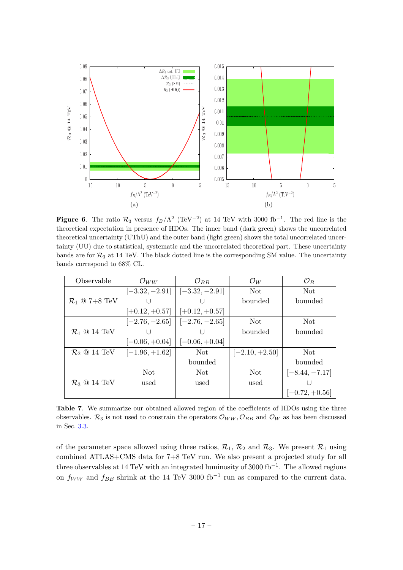

<span id="page-17-0"></span>**Figure 6.** The ratio  $\mathcal{R}_3$  versus  $f_B/\Lambda^2$  (TeV<sup>-2</sup>) at 14 TeV with 3000 fb<sup>-1</sup>. The red line is the theoretical expectation in presence of HDOs. The inner band (dark green) shows the uncorrelated theoretical uncertainty (UThU) and the outer band (light green) shows the total uncorrelated uncertainty (UU) due to statistical, systematic and the uncorrelated theoretical part. These uncertainty bands are for  $\mathcal{R}_3$  at 14 TeV. The black dotted line is the corresponding SM value. The uncertainty bands correspond to 68% CL.

<span id="page-17-1"></span>

| Observable                             | $\mathcal{O}_{WW}$ | $\mathcal{O}_{BB}$                  | $\mathcal{O}_W$  | $\mathcal{O}_B$  |
|----------------------------------------|--------------------|-------------------------------------|------------------|------------------|
|                                        |                    | $[-3.32, -2.91]$ $[-3.32, -2.91]$   | Not.             | Not.             |
| $\mathcal{R}_1 \ @$ 7+8 TeV            |                    |                                     | bounded          | bounded          |
|                                        | $[-0.12, +0.57]$   | $[-0.12, +0.57]$                    |                  |                  |
|                                        |                    | $[-2.76, -2.65]$   $[-2.76, -2.65]$ | Not.             | Not.             |
| $\mathcal{R}_1$ @ 14 TeV               |                    |                                     | bounded          | bounded          |
|                                        | $[-0.06, +0.04]$   | $[-0.06, +0.04]$                    |                  |                  |
| $\mathcal{R}_2 \otimes 14 \text{ TeV}$ | $[-1.96, +1.62]$   | Not                                 | $[-2.10, +2.50]$ | Not.             |
|                                        |                    | bounded                             |                  | bounded          |
|                                        | Not.               | Not.                                | Not              | $[-8.44, -7.17]$ |
| $\mathcal{R}_3$ @ 14 TeV               | used               | used                                | used             |                  |
|                                        |                    |                                     |                  | $[-0.72, +0.56]$ |

Table 7. We summarize our obtained allowed region of the coefficients of HDOs using the three observables.  $\mathcal{R}_3$  is not used to constrain the operators  $\mathcal{O}_{WW}, \mathcal{O}_{BB}$  and  $\mathcal{O}_W$  as has been discussed in Sec. [3.3.](#page-8-0)

of the parameter space allowed using three ratios,  $\mathcal{R}_1$ ,  $\mathcal{R}_2$  and  $\mathcal{R}_3$ . We present  $\mathcal{R}_1$  using combined ATLAS+CMS data for 7+8 TeV run. We also present a projected study for all three observables at 14 TeV with an integrated luminosity of 3000 fb−<sup>1</sup> . The allowed regions on  $f_{WW}$  and  $f_{BB}$  shrink at the 14 TeV 3000 fb<sup>-1</sup> run as compared to the current data.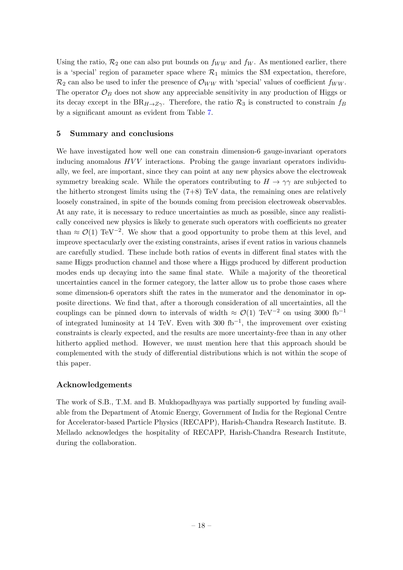Using the ratio,  $\mathcal{R}_2$  one can also put bounds on  $f_{WW}$  and  $f_W$ . As mentioned earlier, there is a 'special' region of parameter space where  $\mathcal{R}_1$  mimics the SM expectation, therefore,  $\mathcal{R}_2$  can also be used to infer the presence of  $\mathcal{O}_{WW}$  with 'special' values of coefficient  $f_{WW}$ . The operator  $\mathcal{O}_B$  does not show any appreciable sensitivity in any production of Higgs or its decay except in the  $BR_{H\to Z\gamma}$ . Therefore, the ratio  $\mathcal{R}_3$  is constructed to constrain  $f_B$ by a significant amount as evident from Table [7.](#page-17-1)

# <span id="page-18-0"></span>5 Summary and conclusions

We have investigated how well one can constrain dimension-6 gauge-invariant operators inducing anomalous  $HVV$  interactions. Probing the gauge invariant operators individually, we feel, are important, since they can point at any new physics above the electroweak symmetry breaking scale. While the operators contributing to  $H \to \gamma\gamma$  are subjected to the hitherto strongest limits using the  $(7+8)$  TeV data, the remaining ones are relatively loosely constrained, in spite of the bounds coming from precision electroweak observables. At any rate, it is necessary to reduce uncertainties as much as possible, since any realistically conceived new physics is likely to generate such operators with coefficients no greater than  $\approx \mathcal{O}(1)$  TeV<sup>-2</sup>. We show that a good opportunity to probe them at this level, and improve spectacularly over the existing constraints, arises if event ratios in various channels are carefully studied. These include both ratios of events in different final states with the same Higgs production channel and those where a Higgs produced by different production modes ends up decaying into the same final state. While a majority of the theoretical uncertainties cancel in the former category, the latter allow us to probe those cases where some dimension-6 operators shift the rates in the numerator and the denominator in opposite directions. We find that, after a thorough consideration of all uncertainties, all the couplings can be pinned down to intervals of width  $\approx$  O(1) TeV<sup>-2</sup> on using 3000 fb<sup>-1</sup> of integrated luminosity at 14 TeV. Even with 300 fb<sup>-1</sup>, the improvement over existing constraints is clearly expected, and the results are more uncertainty-free than in any other hitherto applied method. However, we must mention here that this approach should be complemented with the study of differential distributions which is not within the scope of this paper.

# Acknowledgements

The work of S.B., T.M. and B. Mukhopadhyaya was partially supported by funding available from the Department of Atomic Energy, Government of India for the Regional Centre for Accelerator-based Particle Physics (RECAPP), Harish-Chandra Research Institute. B. Mellado acknowledges the hospitality of RECAPP, Harish-Chandra Research Institute, during the collaboration.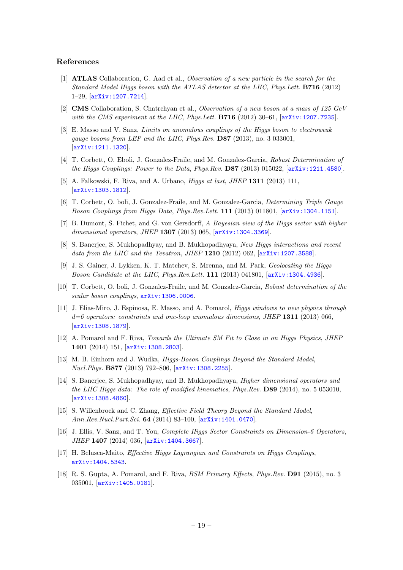#### References

- <span id="page-19-0"></span>[1] ATLAS Collaboration, G. Aad et al., Observation of a new particle in the search for the Standard Model Higgs boson with the ATLAS detector at the LHC, Phys.Lett. B716 (2012) 1–29, [[arXiv:1207.7214](http://arxiv.org/abs/1207.7214)].
- <span id="page-19-1"></span>[2] CMS Collaboration, S. Chatrchyan et al., Observation of a new boson at a mass of 125 GeV with the CMS experiment at the LHC, Phys.Lett.  $B716$  (2012) 30–61,  $arXiv:1207.7235$ .
- <span id="page-19-2"></span>[3] E. Masso and V. Sanz, Limits on anomalous couplings of the Higgs boson to electroweak gauge bosons from LEP and the LHC, Phys. Rev.  $DS7$  (2013), no. 3 033001. [[arXiv:1211.1320](http://arxiv.org/abs/1211.1320)].
- <span id="page-19-3"></span>[4] T. Corbett, O. Eboli, J. Gonzalez-Fraile, and M. Gonzalez-Garcia, Robust Determination of the Higgs Couplings: Power to the Data, Phys.Rev. D87 (2013) 015022, [[arXiv:1211.4580](http://arxiv.org/abs/1211.4580)].
- [5] A. Falkowski, F. Riva, and A. Urbano, Higgs at last, JHEP 1311 (2013) 111, [[arXiv:1303.1812](http://arxiv.org/abs/1303.1812)].
- <span id="page-19-4"></span>[6] T. Corbett, O. boli, J. Gonzalez-Fraile, and M. Gonzalez-Garcia, Determining Triple Gauge Boson Couplings from Higgs Data, Phys.Rev.Lett. 111 (2013) 011801, [[arXiv:1304.1151](http://arxiv.org/abs/1304.1151)].
- [7] B. Dumont, S. Fichet, and G. von Gersdorff, A Bayesian view of the Higgs sector with higher dimensional operators, JHEP 1307 (2013) 065,  $[$ [arXiv:1304.3369](http://arxiv.org/abs/1304.3369)].
- <span id="page-19-9"></span>[8] S. Banerjee, S. Mukhopadhyay, and B. Mukhopadhyaya, New Higgs interactions and recent data from the LHC and the Tevatron, JHEP  $1210$  (2012) 062,  $[\text{arXiv}:1207.3588]$ .
- <span id="page-19-6"></span>[9] J. S. Gainer, J. Lykken, K. T. Matchev, S. Mrenna, and M. Park, Geolocating the Higgs Boson Candidate at the LHC, Phys.Rev.Lett. 111 (2013) 041801, [[arXiv:1304.4936](http://arxiv.org/abs/1304.4936)].
- <span id="page-19-5"></span>[10] T. Corbett, O. boli, J. Gonzalez-Fraile, and M. Gonzalez-Garcia, Robust determination of the scalar boson couplings, [arXiv:1306.0006](http://arxiv.org/abs/1306.0006).
- <span id="page-19-8"></span>[11] J. Elias-Miro, J. Espinosa, E. Masso, and A. Pomarol, Higgs windows to new physics through  $d=6$  operators: constraints and one-loop anomalous dimensions, JHEP 1311 (2013) 066, [[arXiv:1308.1879](http://arxiv.org/abs/1308.1879)].
- [12] A. Pomarol and F. Riva, Towards the Ultimate SM Fit to Close in on Higgs Physics, JHEP 1401 (2014) 151, [[arXiv:1308.2803](http://arxiv.org/abs/1308.2803)].
- [13] M. B. Einhorn and J. Wudka, *Higgs-Boson Couplings Beyond the Standard Model*, Nucl.Phys. B877 (2013) 792–806, [[arXiv:1308.2255](http://arxiv.org/abs/1308.2255)].
- <span id="page-19-7"></span>[14] S. Banerjee, S. Mukhopadhyay, and B. Mukhopadhyaya, Higher dimensional operators and the LHC Higgs data: The role of modified kinematics, Phys.Rev. D89 (2014), no. 5 053010, [[arXiv:1308.4860](http://arxiv.org/abs/1308.4860)].
- [15] S. Willenbrock and C. Zhang, Effective Field Theory Beyond the Standard Model, Ann.Rev.Nucl.Part.Sci. 64 (2014) 83–100, [[arXiv:1401.0470](http://arxiv.org/abs/1401.0470)].
- [16] J. Ellis, V. Sanz, and T. You, Complete Higgs Sector Constraints on Dimension-6 Operators, JHEP 1407 (2014) 036, [[arXiv:1404.3667](http://arxiv.org/abs/1404.3667)].
- [17] H. Belusca-Maito, Effective Higgs Lagrangian and Constraints on Higgs Couplings, [arXiv:1404.5343](http://arxiv.org/abs/1404.5343).
- [18] R. S. Gupta, A. Pomarol, and F. Riva, BSM Primary Effects, Phys.Rev. D91 (2015), no. 3 035001, [[arXiv:1405.0181](http://arxiv.org/abs/1405.0181)].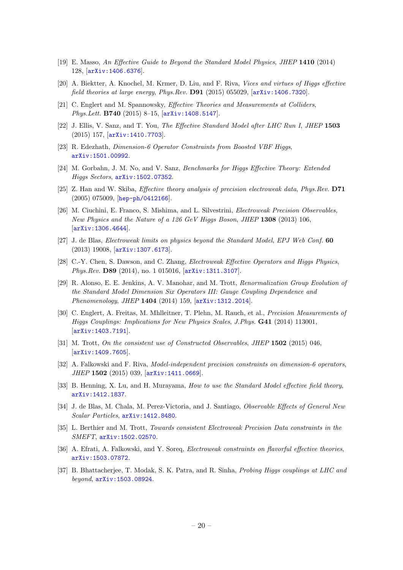- [19] E. Masso, An Effective Guide to Beyond the Standard Model Physics, JHEP 1410 (2014) 128, [[arXiv:1406.6376](http://arxiv.org/abs/1406.6376)].
- [20] A. Biektter, A. Knochel, M. Krmer, D. Liu, and F. Riva, Vices and virtues of Higgs effective field theories at large energy, Phys.Rev. D91 (2015) 055029,  $[ary:1406.7320]$ .
- [21] C. Englert and M. Spannowsky, Effective Theories and Measurements at Colliders, Phys.Lett. B740 (2015) 8–15, [[arXiv:1408.5147](http://arxiv.org/abs/1408.5147)].
- [22] J. Ellis, V. Sanz, and T. You, The Effective Standard Model after LHC Run I, JHEP 1503 (2015) 157, [[arXiv:1410.7703](http://arxiv.org/abs/1410.7703)].
- [23] R. Edezhath, *Dimension-6 Operator Constraints from Boosted VBF Higgs*, [arXiv:1501.00992](http://arxiv.org/abs/1501.00992).
- [24] M. Gorbahn, J. M. No, and V. Sanz, Benchmarks for Higgs Effective Theory: Extended Higgs Sectors, [arXiv:1502.07352](http://arxiv.org/abs/1502.07352).
- [25] Z. Han and W. Skiba, Effective theory analysis of precision electroweak data, Phys.Rev. D71 (2005) 075009, [[hep-ph/0412166](http://arxiv.org/abs/hep-ph/0412166)].
- [26] M. Ciuchini, E. Franco, S. Mishima, and L. Silvestrini, Electroweak Precision Observables, New Physics and the Nature of a 126 GeV Higgs Boson, JHEP 1308 (2013) 106, [[arXiv:1306.4644](http://arxiv.org/abs/1306.4644)].
- [27] J. de Blas, Electroweak limits on physics beyond the Standard Model, EPJ Web Conf. 60 (2013) 19008, [[arXiv:1307.6173](http://arxiv.org/abs/1307.6173)].
- [28] C.-Y. Chen, S. Dawson, and C. Zhang, Electroweak Effective Operators and Higgs Physics, Phys.Rev. D89 (2014), no. 1 015016,  $[ary1311.3107]$ .
- [29] R. Alonso, E. E. Jenkins, A. V. Manohar, and M. Trott, Renormalization Group Evolution of the Standard Model Dimension Six Operators III: Gauge Coupling Dependence and Phenomenology, JHEP 1404 (2014) 159, [[arXiv:1312.2014](http://arxiv.org/abs/1312.2014)].
- [30] C. Englert, A. Freitas, M. Mhlleitner, T. Plehn, M. Rauch, et al., Precision Measurements of Higgs Couplings: Implications for New Physics Scales, J.Phys. G41 (2014) 113001, [[arXiv:1403.7191](http://arxiv.org/abs/1403.7191)].
- [31] M. Trott, On the consistent use of Constructed Observables, JHEP 1502 (2015) 046, [[arXiv:1409.7605](http://arxiv.org/abs/1409.7605)].
- [32] A. Falkowski and F. Riva, Model-independent precision constraints on dimension-6 operators, JHEP 1502 (2015) 039, [[arXiv:1411.0669](http://arxiv.org/abs/1411.0669)].
- [33] B. Henning, X. Lu, and H. Murayama, *How to use the Standard Model effective field theory*, [arXiv:1412.1837](http://arxiv.org/abs/1412.1837).
- [34] J. de Blas, M. Chala, M. Perez-Victoria, and J. Santiago, Observable Effects of General New Scalar Particles, [arXiv:1412.8480](http://arxiv.org/abs/1412.8480).
- [35] L. Berthier and M. Trott, Towards consistent Electroweak Precision Data constraints in the SMEFT, [arXiv:1502.02570](http://arxiv.org/abs/1502.02570).
- <span id="page-20-1"></span>[36] A. Efrati, A. Falkowski, and Y. Soreq, *Electroweak constraints on flavorful effective theories*, [arXiv:1503.07872](http://arxiv.org/abs/1503.07872).
- <span id="page-20-0"></span>[37] B. Bhattacherjee, T. Modak, S. K. Patra, and R. Sinha, *Probing Higgs couplings at LHC and* beyond, [arXiv:1503.08924](http://arxiv.org/abs/1503.08924).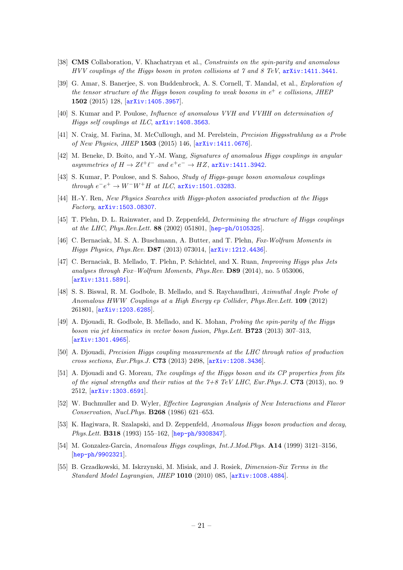- <span id="page-21-0"></span>[38] **CMS** Collaboration, V. Khachatryan et al., *Constraints on the spin-parity and anomalous* HVV couplings of the Higgs boson in proton collisions at  $\gamma$  and  $\delta$  TeV, [arXiv:1411.3441](http://arxiv.org/abs/1411.3441).
- <span id="page-21-1"></span>[39] G. Amar, S. Banerjee, S. von Buddenbrock, A. S. Cornell, T. Mandal, et al., Exploration of the tensor structure of the Higgs boson coupling to weak bosons in  $e^+$  e collisions, JHEP 1502 (2015) 128, [[arXiv:1405.3957](http://arxiv.org/abs/1405.3957)].
- [40] S. Kumar and P. Poulose, Influence of anomalous VVH and VVHH on determination of Higgs self couplings at ILC, [arXiv:1408.3563](http://arxiv.org/abs/1408.3563).
- [41] N. Craig, M. Farina, M. McCullough, and M. Perelstein, Precision Higgsstrahlung as a Probe of New Physics, JHEP 1503 (2015) 146, [[arXiv:1411.0676](http://arxiv.org/abs/1411.0676)].
- [42] M. Beneke, D. Boito, and Y.-M. Wang, Signatures of anomalous Higgs couplings in angular asymmetries of  $H \to Z\ell^+\ell^-$  and  $e^+e^- \to HZ$ , [arXiv:1411.3942](http://arxiv.org/abs/1411.3942).
- [43] S. Kumar, P. Poulose, and S. Sahoo, Study of Higgs-gauge boson anomalous couplings through  $e^-e^+$  →  $W^-W^+H$  at ILC,  $arXiv:1501.03283$ .
- <span id="page-21-2"></span>[44] H.-Y. Ren, New Physics Searches with Higgs-photon associated production at the Higgs Factory, [arXiv:1503.08307](http://arxiv.org/abs/1503.08307).
- <span id="page-21-3"></span>[45] T. Plehn, D. L. Rainwater, and D. Zeppenfeld, Determining the structure of Higgs couplings at the LHC, Phys.Rev.Lett. 88 (2002) 051801, [[hep-ph/0105325](http://arxiv.org/abs/hep-ph/0105325)].
- [46] C. Bernaciak, M. S. A. Buschmann, A. Butter, and T. Plehn, Fox-Wolfram Moments in Higgs Physics, Phys.Rev. D87 (2013) 073014, [[arXiv:1212.4436](http://arxiv.org/abs/1212.4436)].
- [47] C. Bernaciak, B. Mellado, T. Plehn, P. Schichtel, and X. Ruan, Improving Higgs plus Jets analyses through Fox–Wolfram Moments, Phys.Rev. D89 (2014), no. 5 053006, [[arXiv:1311.5891](http://arxiv.org/abs/1311.5891)].
- [48] S. S. Biswal, R. M. Godbole, B. Mellado, and S. Raychaudhuri, Azimuthal Angle Probe of Anomalous HWW Couplings at a High Energy ep Collider, Phys.Rev.Lett. 109 (2012) 261801, [[arXiv:1203.6285](http://arxiv.org/abs/1203.6285)].
- <span id="page-21-4"></span>[49] A. Djouadi, R. Godbole, B. Mellado, and K. Mohan, Probing the spin-parity of the Higgs boson via jet kinematics in vector boson fusion, Phys.Lett. B723 (2013) 307–313, [[arXiv:1301.4965](http://arxiv.org/abs/1301.4965)].
- <span id="page-21-5"></span>[50] A. Djouadi, Precision Higgs coupling measurements at the LHC through ratios of production cross sections, Eur.Phys.J. C73 (2013) 2498, [[arXiv:1208.3436](http://arxiv.org/abs/1208.3436)].
- <span id="page-21-6"></span>[51] A. Djouadi and G. Moreau, The couplings of the Higgs boson and its CP properties from fits of the signal strengths and their ratios at the  $7+8$  TeV LHC, Eur. Phys. J. C73 (2013), no. 9 2512, [[arXiv:1303.6591](http://arxiv.org/abs/1303.6591)].
- <span id="page-21-7"></span>[52] W. Buchmuller and D. Wyler, Effective Lagrangian Analysis of New Interactions and Flavor Conservation, Nucl.Phys. B268 (1986) 621–653.
- [53] K. Hagiwara, R. Szalapski, and D. Zeppenfeld, Anomalous Higgs boson production and decay, Phys.Lett. B318 (1993) 155–162, [[hep-ph/9308347](http://arxiv.org/abs/hep-ph/9308347)].
- [54] M. Gonzalez-Garcia, Anomalous Higgs couplings, Int.J.Mod.Phys. A14 (1999) 3121–3156, [[hep-ph/9902321](http://arxiv.org/abs/hep-ph/9902321)].
- <span id="page-21-8"></span>[55] B. Grzadkowski, M. Iskrzynski, M. Misiak, and J. Rosiek, Dimension-Six Terms in the Standard Model Lagrangian, JHEP 1010 (2010) 085, [[arXiv:1008.4884](http://arxiv.org/abs/1008.4884)].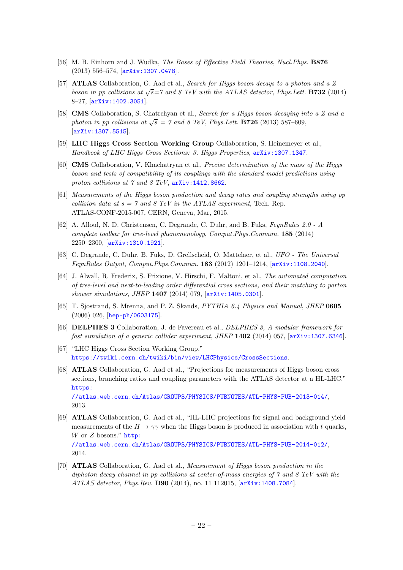- <span id="page-22-0"></span>[56] M. B. Einhorn and J. Wudka, The Bases of Effective Field Theories, Nucl. Phys. B876 (2013) 556–574, [[arXiv:1307.0478](http://arxiv.org/abs/1307.0478)].
- <span id="page-22-1"></span>[57] **ATLAS** Collaboration, G. Aad et al., Search for Higgs boson decays to a photon and a Z boson in pp collisions at  $\sqrt{s}$ =7 and 8 TeV with the ATLAS detector, Phys. Lett. **B732** (2014) 8–27, [[arXiv:1402.3051](http://arxiv.org/abs/1402.3051)].
- <span id="page-22-2"></span>[58] **CMS** Collaboration, S. Chatrchyan et al., Search for a Higgs boson decaying into a Z and a photon in pp collisions at  $\sqrt{s} = 7$  and 8 TeV, Phys. Lett. **B726** (2013) 587–609, [[arXiv:1307.5515](http://arxiv.org/abs/1307.5515)].
- <span id="page-22-3"></span>[59] LHC Higgs Cross Section Working Group Collaboration, S. Heinemeyer et al., Handbook of LHC Higgs Cross Sections: 3. Higgs Properties, [arXiv:1307.1347](http://arxiv.org/abs/1307.1347).
- <span id="page-22-14"></span>[60] CMS Collaboration, V. Khachatryan et al., Precise determination of the mass of the Higgs boson and tests of compatibility of its couplings with the standard model predictions using proton collisions at 7 and 8 TeV,  $arXiv:1412.8662$ .
- <span id="page-22-4"></span>[61] Measurements of the Higgs boson production and decay rates and coupling strengths using pp collision data at  $s = 7$  and 8 TeV in the ATLAS experiment, Tech. Rep. ATLAS-CONF-2015-007, CERN, Geneva, Mar, 2015.
- <span id="page-22-5"></span>[62] A. Alloul, N. D. Christensen, C. Degrande, C. Duhr, and B. Fuks, FeynRules 2.0 - A complete toolbox for tree-level phenomenology, Comput.Phys.Commun. 185 (2014) 2250–2300, [[arXiv:1310.1921](http://arxiv.org/abs/1310.1921)].
- <span id="page-22-6"></span>[63] C. Degrande, C. Duhr, B. Fuks, D. Grellscheid, O. Mattelaer, et al., UFO - The Universal FeynRules Output, Comput.Phys.Commun. 183 (2012) 1201–1214, [[arXiv:1108.2040](http://arxiv.org/abs/1108.2040)].
- <span id="page-22-7"></span>[64] J. Alwall, R. Frederix, S. Frixione, V. Hirschi, F. Maltoni, et al., The automated computation of tree-level and next-to-leading order differential cross sections, and their matching to parton shower simulations, JHEP 1407 (2014) 079, [[arXiv:1405.0301](http://arxiv.org/abs/1405.0301)].
- <span id="page-22-8"></span>[65] T. Sjostrand, S. Mrenna, and P. Z. Skands, PYTHIA 6.4 Physics and Manual, JHEP 0605 (2006) 026, [[hep-ph/0603175](http://arxiv.org/abs/hep-ph/0603175)].
- <span id="page-22-9"></span>[66] DELPHES 3 Collaboration, J. de Favereau et al., DELPHES 3, A modular framework for fast simulation of a generic collider experiment, JHEP 1402 (2014) 057, [[arXiv:1307.6346](http://arxiv.org/abs/1307.6346)].
- <span id="page-22-12"></span>[67] "LHC Higgs Cross Section Working Group." <https://twiki.cern.ch/twiki/bin/view/LHCPhysics/CrossSections>.
- <span id="page-22-10"></span>[68] ATLAS Collaboration, G. Aad et al., "Projections for measurements of Higgs boson cross sections, branching ratios and coupling parameters with the ATLAS detector at a HL-LHC." [https:](https://atlas.web.cern.ch/Atlas/GROUPS/PHYSICS/PUBNOTES/ATL-PHYS-PUB-2013-014/) [//atlas.web.cern.ch/Atlas/GROUPS/PHYSICS/PUBNOTES/ATL-PHYS-PUB-2013-014/](https://atlas.web.cern.ch/Atlas/GROUPS/PHYSICS/PUBNOTES/ATL-PHYS-PUB-2013-014/),

2013.

- <span id="page-22-11"></span>[69] ATLAS Collaboration, G. Aad et al., "HL-LHC projections for signal and background yield measurements of the  $H \to \gamma\gamma$  when the Higgs boson is produced in association with t quarks, W or  $Z$  bosons." [http:](http://atlas.web.cern.ch/Atlas/GROUPS/PHYSICS/PUBNOTES/ATL-PHYS-PUB-2014-012/) [//atlas.web.cern.ch/Atlas/GROUPS/PHYSICS/PUBNOTES/ATL-PHYS-PUB-2014-012/](http://atlas.web.cern.ch/Atlas/GROUPS/PHYSICS/PUBNOTES/ATL-PHYS-PUB-2014-012/), 2014.
- <span id="page-22-13"></span>[70] ATLAS Collaboration, G. Aad et al., Measurement of Higgs boson production in the diphoton decay channel in pp collisions at center-of-mass energies of 7 and 8 TeV with the ATLAS detector, Phys.Rev. D90 (2014), no. 11 112015, [[arXiv:1408.7084](http://arxiv.org/abs/1408.7084)].